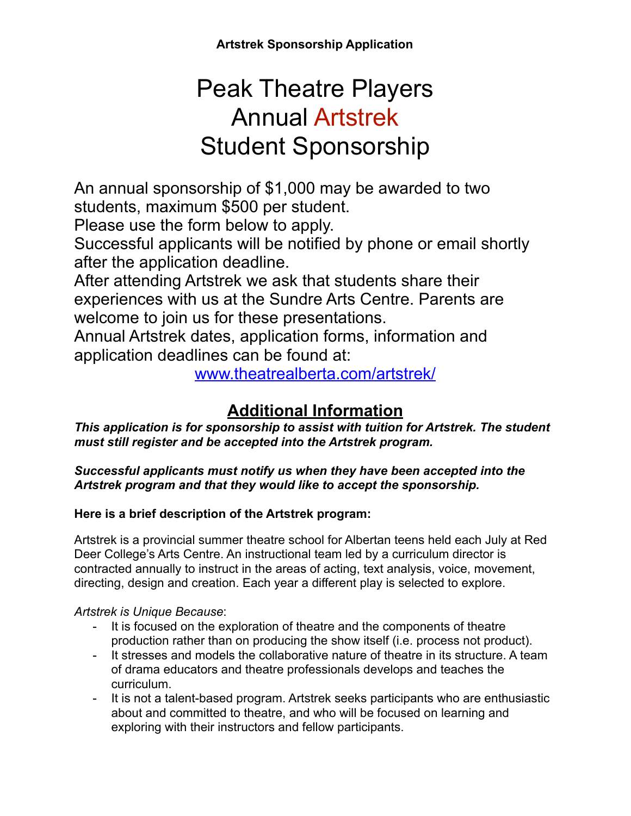**Artstrek Sponsorship Application**

# Peak Theatre Players Annual Artstrek Student Sponsorship

An annual sponsorship of \$1,000 may be awarded to two students, maximum \$500 per student.

Please use the form below to apply.

Successful applicants will be notified by phone or email shortly after the application deadline.

After attending Artstrek we ask that students share their experiences with us at the Sundre Arts Centre. Parents are welcome to join us for these presentations.

Annual Artstrek dates, application forms, information and application deadlines can be found at:

[www.theatrealberta.com/artstrek/](http://www.theatrealberta.com/artstrek/)

## **Additional Information**

*This application is for sponsorship to assist with tuition for Artstrek. The student must still register and be accepted into the Artstrek program.* 

*Successful applicants must notify us when they have been accepted into the Artstrek program and that they would like to accept the sponsorship.* 

#### **Here is a brief description of the Artstrek program:**

Artstrek is a provincial summer theatre school for Albertan teens held each July at Red Deer College's Arts Centre. An instructional team led by a curriculum director is contracted annually to instruct in the areas of acting, text analysis, voice, movement, directing, design and creation. Each year a different play is selected to explore.

#### *Artstrek is Unique Because*:

- It is focused on the exploration of theatre and the components of theatre production rather than on producing the show itself (i.e. process not product).
- It stresses and models the collaborative nature of theatre in its structure. A team of drama educators and theatre professionals develops and teaches the curriculum.
- It is not a talent-based program. Artstrek seeks participants who are enthusiastic about and committed to theatre, and who will be focused on learning and exploring with their instructors and fellow participants.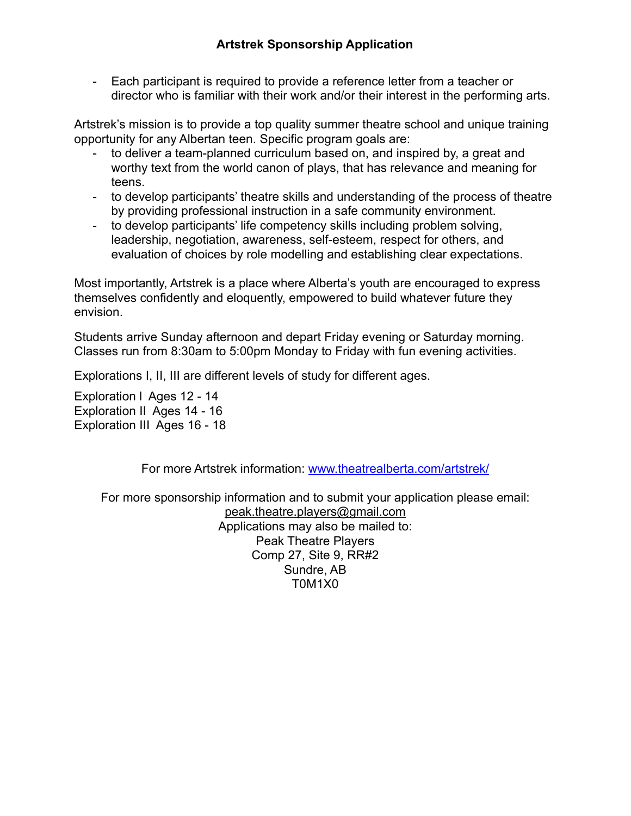- Each participant is required to provide a reference letter from a teacher or director who is familiar with their work and/or their interest in the performing arts.

Artstrek's mission is to provide a top quality summer theatre school and unique training opportunity for any Albertan teen. Specific program goals are:

- to deliver a team-planned curriculum based on, and inspired by, a great and worthy text from the world canon of plays, that has relevance and meaning for teens.
- to develop participants' theatre skills and understanding of the process of theatre by providing professional instruction in a safe community environment.
- to develop participants' life competency skills including problem solving, leadership, negotiation, awareness, self-esteem, respect for others, and evaluation of choices by role modelling and establishing clear expectations.

Most importantly, Artstrek is a place where Alberta's youth are encouraged to express themselves confidently and eloquently, empowered to build whatever future they envision.

Students arrive Sunday afternoon and depart Friday evening or Saturday morning. Classes run from 8:30am to 5:00pm Monday to Friday with fun evening activities.

Explorations I, II, III are different levels of study for different ages.

Exploration l Ages 12 - 14 Exploration II Ages 14 - 16 Exploration III Ages 16 - 18

For more Artstrek information: [www.theatrealberta.com/artstrek/](http://www.theatrealberta.com/artstrek/) 

For more sponsorship information and to submit your application please email: [peak.theatre.players@gmail.com](mailto:peak.theatre.players@gmail.com) Applications may also be mailed to: Peak Theatre Players Comp 27, Site 9, RR#2 Sundre, AB T0M1X0